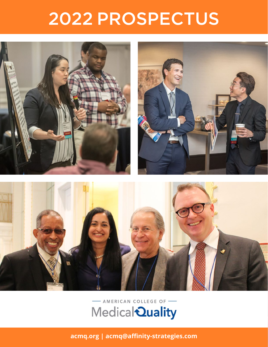# 2022 PROSPECTUS



## AMERICAN COLLEGE OF Medical Quality

**[acmq.org](https://acmq.org) | [acmq@affinity-strategies.com](mailto:acmq%40affinity-strategies.com?subject=)**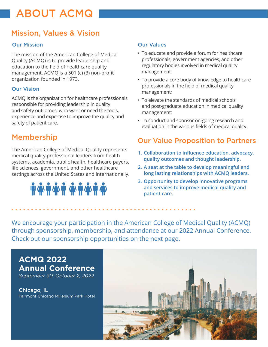# ABOUT ACMQ

### Mission, Values & Vision

### Our Mission

The mission of the American College of Medical Quality (ACMQ) is to provide leadership and education to the field of healthcare quality management. ACMQ is a 501 (c) (3) non-profit organization founded in 1973.

### Our Vision

ACMQ is the organization for healthcare professionals responsible for providing leadership in quality and safety outcomes, who want or need the tools, experience and expertise to improve the quality and safety of patient care.

The American College of Medical Quality represents medical quality professional leaders from health systems, academia, public health, healthcare payers, life sciences, government, and other healthcare settings across the United States and internationally.

# **IN A IN A IN A IN A IN A**

### Our Values

- To educate and provide a forum for healthcare professionals, government agencies, and other regulatory bodies involved in medical quality management;
- To provide a core body of knowledge to healthcare professionals in the field of medical quality management;
- To elevate the standards of medical schools and post-graduate education in medical quality management;
- To conduct and sponsor on-going research and evaluation in the various fields of medical quality.

### Membership **Membership Our Value Proposition to Partners**

- **1. Collaboration to influence education, advocacy, quality outcomes and thought leadership.**
- **2. A seat at the table to develop meaningful and long lasting relationships with ACMQ leaders.**
- **3. Opportunity to develop innovative programs and services to improve medical quality and patient care.**

We encourage your participation in the American College of Medical Quality (ACMQ) through sponsorship, membership, and attendance at our 2022 Annual Conference. Check out our sponsorship opportunities on the next page.

**ACMQ 2022 Annual Conference** *September 30–October 2, 2022*

Chicago, IL Fairmont Chicago Millenium Park Hotel